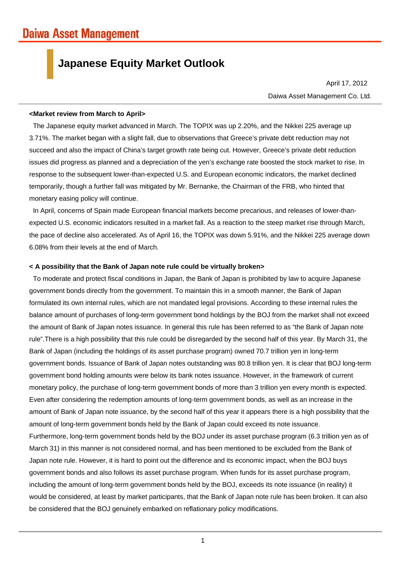# **Japanese Equity Market Outlook**

Daiwa Asset Management Co. Ltd. April 17, 2012

### **<Market review from March to April>**

The Japanese equity market advanced in March. The TOPIX was up 2.20%, and the Nikkei 225 average up 3.71%. The market began with a slight fall, due to observations that Greece's private debt reduction may not succeed and also the impact of China's target growth rate being cut. However, Greece's private debt reduction issues did progress as planned and a depreciation of the yen's exchange rate boosted the stock market to rise. In response to the subsequent lower-than-expected U.S. and European economic indicators, the market declined temporarily, though a further fall was mitigated by Mr. Bernanke, the Chairman of the FRB, who hinted that monetary easing policy will continue.

In April, concerns of Spain made European financial markets become precarious, and releases of lower-thanexpected U.S. economic indicators resulted in a market fall. As a reaction to the steep market rise through March, the pace of decline also accelerated. As of April 16, the TOPIX was down 5.91%, and the Nikkei 225 average down 6.08% from their levels at the end of March.

## **< A possibility that the Bank of Japan note rule could be virtually broken>**

To moderate and protect fiscal conditions in Japan, the Bank of Japan is prohibited by law to acquire Japanese government bonds directly from the government. To maintain this in a smooth manner, the Bank of Japan formulated its own internal rules, which are not mandated legal provisions. According to these internal rules the balance amount of purchases of long-term government bond holdings by the BOJ from the market shall not exceed the amount of Bank of Japan notes issuance. In general this rule has been referred to as "the Bank of Japan note rule".There is a high possibility that this rule could be disregarded by the second half of this year. By March 31, the Bank of Japan (including the holdings of its asset purchase program) owned 70.7 trillion yen in long-term government bonds. Issuance of Bank of Japan notes outstanding was 80.8 trillion yen. It is clear that BOJ long-term government bond holding amounts were below its bank notes issuance. However, in the framework of current monetary policy, the purchase of long-term government bonds of more than 3 trillion yen every month is expected. Even after considering the redemption amounts of long-term government bonds, as well as an increase in the amount of Bank of Japan note issuance, by the second half of this year it appears there is a high possibility that the amount of long-term government bonds held by the Bank of Japan could exceed its note issuance. Furthermore, long-term government bonds held by the BOJ under its asset purchase program (6.3 trillion yen as of March 31) in this manner is not considered normal, and has been mentioned to be excluded from the Bank of Japan note rule. However, it is hard to point out the difference and its economic impact, when the BOJ buys government bonds and also follows its asset purchase program. When funds for its asset purchase program, including the amount of long-term government bonds held by the BOJ, exceeds its note issuance (in reality) it would be considered, at least by market participants, that the Bank of Japan note rule has been broken. It can also be considered that the BOJ genuinely embarked on reflationary policy modifications.

1